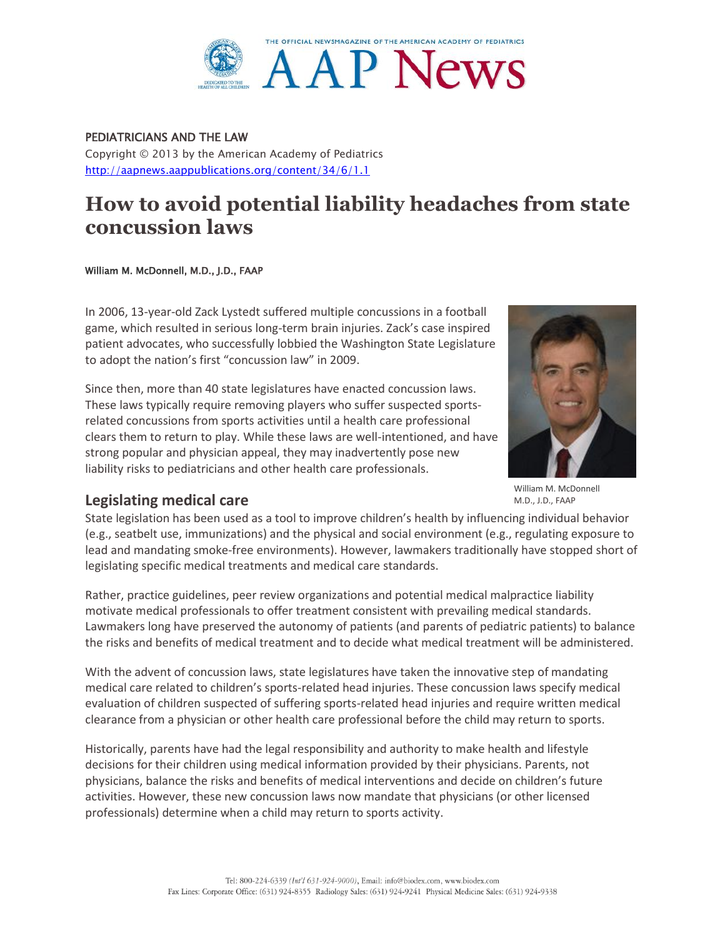

PEDIATRICIANS AND THE LAW Copyright © 2013 by the American Academy of Pediatrics <http://aapnews.aappublications.org/content/34/6/1.1>

# **How to avoid potential liability headaches from state concussion laws**

[William M. McDonnell,](http://aapnews.aappublications.org/search?author1=William+M.+McDonnell&sortspec=date&submit=Submit) M.D., J.D., FAAP

In 2006, 13-year-old Zack Lystedt suffered multiple concussions in a football game, which resulted in serious long-term brain injuries. Zack's case inspired patient advocates, who successfully lobbied the Washington State Legislature to adopt the nation's first "concussion law" in 2009.

Since then, more than 40 state legislatures have enacted concussion laws. These laws typically require removing players who suffer suspected sportsrelated concussions from sports activities until a health care professional clears them to return to play. While these laws are well-intentioned, and have strong popular and physician appeal, they may inadvertently pose new liability risks to pediatricians and other health care professionals.



[William M. McDonnell](http://aapnews.aappublications.org/search?author1=William+M.+McDonnell&sortspec=date&submit=Submit) M.D., J.D., FAAP

## **Legislating medical care**

State legislation has been used as a tool to improve children's health by influencing individual behavior (e.g., seatbelt use, immunizations) and the physical and social environment (e.g., regulating exposure to lead and mandating smoke-free environments). However, lawmakers traditionally have stopped short of legislating specific medical treatments and medical care standards.

Rather, practice guidelines, peer review organizations and potential medical malpractice liability motivate medical professionals to offer treatment consistent with prevailing medical standards. Lawmakers long have preserved the autonomy of patients (and parents of pediatric patients) to balance the risks and benefits of medical treatment and to decide what medical treatment will be administered.

With the advent of concussion laws, state legislatures have taken the innovative step of mandating medical care related to children's sports-related head injuries. These concussion laws specify medical evaluation of children suspected of suffering sports-related head injuries and require written medical clearance from a physician or other health care professional before the child may return to sports.

Historically, parents have had the legal responsibility and authority to make health and lifestyle decisions for their children using medical information provided by their physicians. Parents, not physicians, balance the risks and benefits of medical interventions and decide on children's future activities. However, these new concussion laws now mandate that physicians (or other licensed professionals) determine when a child may return to sports activity.